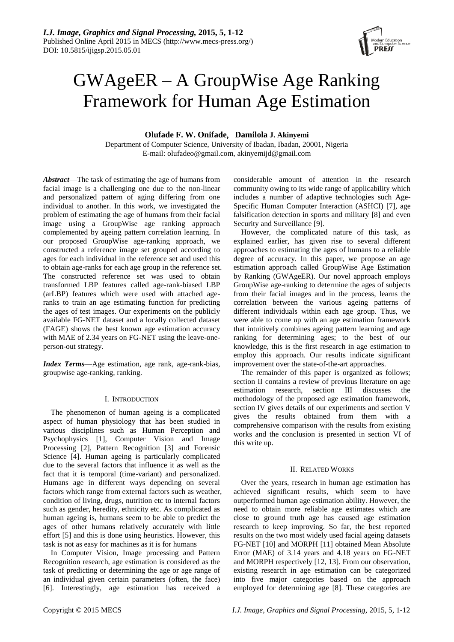

# GWAgeER – A GroupWise Age Ranking Framework for Human Age Estimation

**Olufade F. W. Onifade**, **Damilola J. Akinyemi**

Department of Computer Science, University of Ibadan, Ibadan, 20001, Nigeria E-mail: olufadeo@gmail.com, akinyemijd@gmail.com

*Abstract*—The task of estimating the age of humans from facial image is a challenging one due to the non-linear and personalized pattern of aging differing from one individual to another. In this work, we investigated the problem of estimating the age of humans from their facial image using a GroupWise age ranking approach complemented by ageing pattern correlation learning. In our proposed GroupWise age-ranking approach, we constructed a reference image set grouped according to ages for each individual in the reference set and used this to obtain age-ranks for each age group in the reference set. The constructed reference set was used to obtain transformed LBP features called age-rank-biased LBP (arLBP) features which were used with attached ageranks to train an age estimating function for predicting the ages of test images. Our experiments on the publicly available FG-NET dataset and a locally collected dataset (FAGE) shows the best known age estimation accuracy with MAE of 2.34 years on FG-NET using the leave-oneperson-out strategy.

*Index Terms*—Age estimation, age rank, age-rank-bias, groupwise age-ranking, ranking.

# I. INTRODUCTION

The phenomenon of human ageing is a complicated aspect of human physiology that has been studied in various disciplines such as Human Perception and Psychophysics [1], Computer Vision and Image Processing [2], Pattern Recognition [3] and Forensic Science [4]. Human ageing is particularly complicated due to the several factors that influence it as well as the fact that it is temporal (time-variant) and personalized. Humans age in different ways depending on several factors which range from external factors such as weather, condition of living, drugs, nutrition etc to internal factors such as gender, heredity, ethnicity etc. As complicated as human ageing is, humans seem to be able to predict the ages of other humans relatively accurately with little effort [5] and this is done using heuristics. However, this task is not as easy for machines as it is for humans

In Computer Vision, Image processing and Pattern Recognition research, age estimation is considered as the task of predicting or determining the age or age range of an individual given certain parameters (often, the face) [6]. Interestingly, age estimation has received a

considerable amount of attention in the research community owing to its wide range of applicability which includes a number of adaptive technologies such Age-Specific Human Computer Interaction (ASHCI) [7], age falsification detection in sports and military [8] and even Security and Surveillance [9].

However, the complicated nature of this task, as explained earlier, has given rise to several different approaches to estimating the ages of humans to a reliable degree of accuracy. In this paper, we propose an age estimation approach called GroupWise Age Estimation by Ranking (GWAgeER). Our novel approach employs GroupWise age-ranking to determine the ages of subjects from their facial images and in the process, learns the correlation between the various ageing patterns of different individuals within each age group. Thus, we were able to come up with an age estimation framework that intuitively combines ageing pattern learning and age ranking for determining ages; to the best of our knowledge, this is the first research in age estimation to employ this approach. Our results indicate significant improvement over the state-of-the-art approaches.

The remainder of this paper is organized as follows; section II contains a review of previous literature on age estimation research, section III discusses the methodology of the proposed age estimation framework, section IV gives details of our experiments and section V gives the results obtained from them with a comprehensive comparison with the results from existing works and the conclusion is presented in section VI of this write up.

# II. RELATED WORKS

Over the years, research in human age estimation has achieved significant results, which seem to have outperformed human age estimation ability. However, the need to obtain more reliable age estimates which are close to ground truth age has caused age estimation research to keep improving. So far, the best reported results on the two most widely used facial ageing datasets FG-NET [10] and MORPH [11] obtained Mean Absolute Error (MAE) of 3.14 years and 4.18 years on FG-NET and MORPH respectively [12, 13]. From our observation, existing research in age estimation can be categorized into five major categories based on the approach employed for determining age [8]. These categories are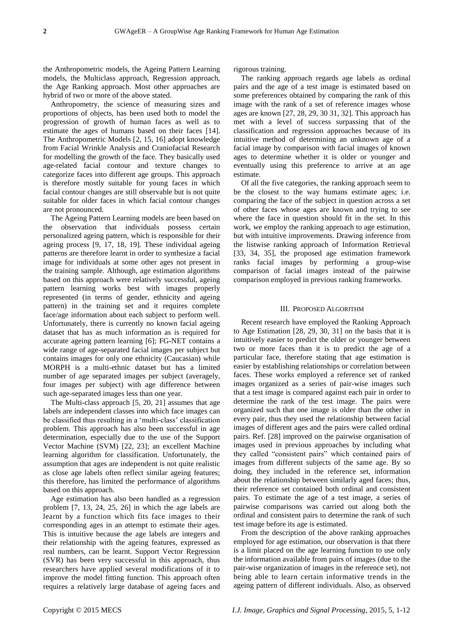the Anthropometric models, the Ageing Pattern Learning models, the Multiclass approach, Regression approach, the Age Ranking approach. Most other approaches are hybrid of two or more of the above stated.

Anthropometry, the science of measuring sizes and proportions of objects, has been used both to model the progression of growth of human faces as well as to estimate the ages of humans based on their faces [14]. The Anthropometric Models [2, 15, 16] adopt knowledge from Facial Wrinkle Analysis and Craniofacial Research for modelling the growth of the face. They basically used age-related facial contour and texture changes to categorize faces into different age groups. This approach is therefore mostly suitable for young faces in which facial contour changes are still observable but is not quite suitable for older faces in which facial contour changes are not pronounced.

The Ageing Pattern Learning models are been based on the observation that individuals possess certain personalized ageing pattern, which is responsible for their ageing process [9, 17, 18, 19]. These individual ageing patterns are therefore learnt in order to synthesize a facial image for individuals at some other ages not present in the training sample. Although, age estimation algorithms based on this approach were relatively successful, ageing pattern learning works best with images properly represented (in terms of gender, ethnicity and ageing pattern) in the training set and it requires complete face/age information about each subject to perform well. Unfortunately, there is currently no known facial ageing dataset that has as much information as is required for accurate ageing pattern learning [6]; FG-NET contains a wide range of age-separated facial images per subject but contains images for only one ethnicity (Caucasian) while MORPH is a multi-ethnic dataset but has a limited number of age separated images per subject (averagely, four images per subject) with age difference between such age-separated images less than one year.

The Multi-class approach [5, 20, 21] assumes that age labels are independent classes into which face images can be classified thus resulting in a 'multi-class' classification problem. This approach has also been successful in age determination, especially due to the use of the Support Vector Machine (SVM) [22, 23]; an excellent Machine learning algorithm for classification. Unfortunately, the assumption that ages are independent is not quite realistic as close age labels often reflect similar ageing features; this therefore, has limited the performance of algorithms based on this approach.

Age estimation has also been handled as a regression problem [7, 13, 24, 25, 26] in which the age labels are learnt by a function which fits face images to their corresponding ages in an attempt to estimate their ages. This is intuitive because the age labels are integers and their relationship with the ageing features, expressed as real numbers, can be learnt. Support Vector Regression (SVR) has been very successful in this approach, thus researchers have applied several modifications of it to improve the model fitting function. This approach often requires a relatively large database of ageing faces and rigorous training.

The ranking approach regards age labels as ordinal pairs and the age of a test image is estimated based on some preferences obtained by comparing the rank of this image with the rank of a set of reference images whose ages are known [27, 28, 29, 30 31, 32]. This approach has met with a level of success surpassing that of the classification and regression approaches because of its intuitive method of determining an unknown age of a facial image by comparison with facial images of known ages to determine whether it is older or younger and eventually using this preference to arrive at an age estimate.

Of all the five categories, the ranking approach seem to be the closest to the way humans estimate ages; i.e. comparing the face of the subject in question across a set of other faces whose ages are known and trying to see where the face in question should fit in the set. In this work, we employ the ranking approach to age estimation, but with intuitive improvements. Drawing inference from the listwise ranking approach of Information Retrieval [33, 34, 35], the proposed age estimation framework ranks facial images by performing a group-wise comparison of facial images instead of the pairwise comparison employed in previous ranking frameworks.

# III. PROPOSED ALGORITHM

Recent research have employed the Ranking Approach to Age Estimation [28, 29, 30, 31] on the basis that it is intuitively easier to predict the older or younger between two or more faces than it is to predict the age of a particular face, therefore stating that age estimation is easier by establishing relationships or correlation between faces. These works employed a reference set of ranked images organized as a series of pair-wise images such that a test image is compared against each pair in order to determine the rank of the test image. The pairs were organized such that one image is older than the other in every pair, thus they used the relationship between facial images of different ages and the pairs were called ordinal pairs. Ref. [28] improved on the pairwise organisation of images used in previous approaches by including what they called "consistent pairs" which contained pairs of images from different subjects of the same age. By so doing, they included in the reference set, information about the relationship between similarly aged faces; thus, their reference set contained both ordinal and consistent pairs. To estimate the age of a test image, a series of pairwise comparisons was carried out along both the ordinal and consistent pairs to determine the rank of such test image before its age is estimated.

From the description of the above ranking approaches employed for age estimation, our observation is that there is a limit placed on the age learning function to use only the information available from pairs of images (due to the pair-wise organization of images in the reference set), not being able to learn certain informative trends in the ageing pattern of different individuals. Also, as observed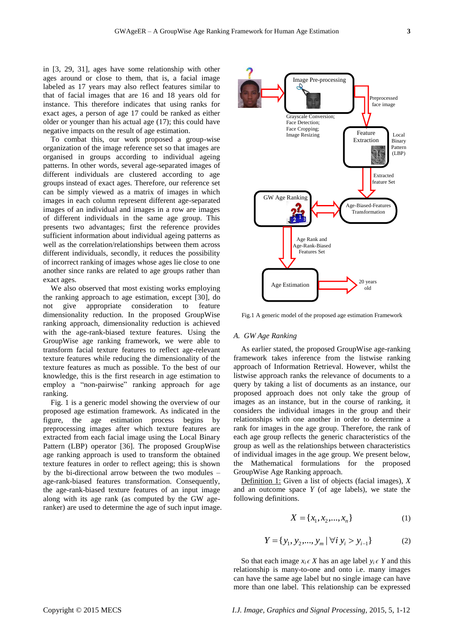in [3, 29, 31], ages have some relationship with other ages around or close to them, that is, a facial image labeled as 17 years may also reflect features similar to that of facial images that are 16 and 18 years old for instance. This therefore indicates that using ranks for exact ages, a person of age 17 could be ranked as either older or younger than his actual age (17); this could have negative impacts on the result of age estimation.

To combat this, our work proposed a group-wise organization of the image reference set so that images are organised in groups according to individual ageing patterns. In other words, several age-separated images of different individuals are clustered according to age groups instead of exact ages. Therefore, our reference set can be simply viewed as a matrix of images in which images in each column represent different age-separated images of an individual and images in a row are images of different individuals in the same age group. This presents two advantages; first the reference provides sufficient information about individual ageing patterns as well as the correlation/relationships between them across different individuals, secondly, it reduces the possibility of incorrect ranking of images whose ages lie close to one another since ranks are related to age groups rather than exact ages.

We also observed that most existing works employing the ranking approach to age estimation, except [30], do not give appropriate consideration to feature dimensionality reduction. In the proposed GroupWise ranking approach, dimensionality reduction is achieved with the age-rank-biased texture features. Using the GroupWise age ranking framework, we were able to transform facial texture features to reflect age-relevant texture features while reducing the dimensionality of the texture features as much as possible. To the best of our knowledge, this is the first research in age estimation to employ a "non-pairwise" ranking approach for age ranking.

Fig. 1 is a generic model showing the overview of our proposed age estimation framework. As indicated in the figure, the age estimation process begins by preprocessing images after which texture features are extracted from each facial image using the Local Binary Pattern (LBP) operator [36]. The proposed GroupWise age ranking approach is used to transform the obtained texture features in order to reflect ageing; this is shown by the bi-directional arrow between the two modules – age-rank-biased features transformation. Consequently, the age-rank-biased texture features of an input image along with its age rank (as computed by the GW ageranker) are used to determine the age of such input image.



Fig.1 A generic model of the proposed age estimation Framework

# *A. GW Age Ranking*

As earlier stated, the proposed GroupWise age-ranking framework takes inference from the listwise ranking approach of Information Retrieval. However, whilst the listwise approach ranks the relevance of documents to a query by taking a list of documents as an instance, our proposed approach does not only take the group of images as an instance, but in the course of ranking, it considers the individual images in the group and their relationships with one another in order to determine a rank for images in the age group. Therefore, the rank of each age group reflects the generic characteristics of the group as well as the relationships between characteristics of individual images in the age group. We present below, the Mathematical formulations for the proposed GroupWise Age Ranking approach.

Definition 1: Given a list of objects (facial images), *X* and an outcome space *Y* (of age labels), we state the following definitions.

$$
X = \{x_1, x_2, \dots, x_n\}
$$
 (1)

$$
Y = \{y_1, y_2, \dots, y_m \mid \forall i \ y_i > y_{i-1}\}
$$
 (2)

So that each image  $x_i \in X$  has an age label  $y_i \in Y$  and this relationship is many-to-one and onto i.e. many images can have the same age label but no single image can have more than one label. This relationship can be expressed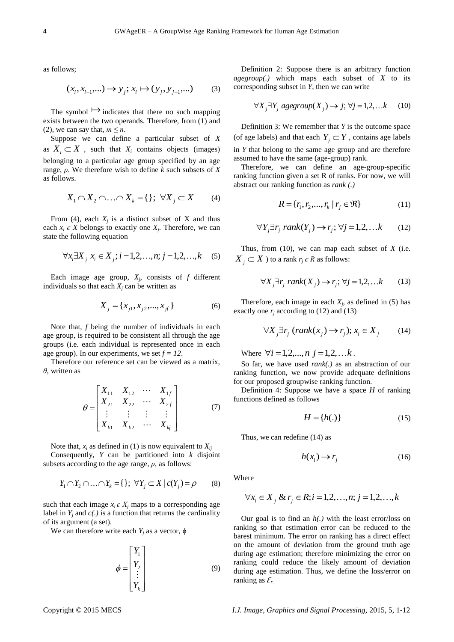as follows;

$$
(x_i, x_{i+1}, \dots) \to y_j; x_i \mapsto (y_j, y_{j+1}, \dots) \tag{3}
$$

The symbol  $\mapsto$  indicates that there no such mapping exists between the two operands. Therefore, from (1) and (2), we can say that,  $m \leq n$ .

Suppose we can define a particular subset of *X* as  $X_i \subset X$ , such that  $X_i$  contains objects (images) belonging to a particular age group specified by an age range, *ρ*. We therefore wish to define *k* such subsets of *X* as follows.

$$
X_1 \cap X_2 \cap \ldots \cap X_k = \{\}; \ \forall X_j \subset X \qquad (4)
$$

From (4), each  $X_j$  is a distinct subset of X and thus each  $x_i \in X$  belongs to exactly one  $X_j$ . Therefore, we can state the following equation

$$
\forall x_i \exists X_j \ x_i \in X_j; i = 1, 2, ..., n; j = 1, 2, ..., k \quad (5)
$$

Each image age group,  $X_j$ , consists of  $f$  different individuals so that each  $X_i$  can be written as

$$
X_j = \{x_{j1}, x_{j2}, \dots, x_{jt}\}\tag{6}
$$

Note that, *f* being the number of individuals in each age group, is required to be consistent all through the age groups (i.e. each individual is represented once in each age group). In our experiments, we set  $f = 12$ .

Therefore our reference set can be viewed as a matrix, *θ*, written as

$$
\theta = \begin{bmatrix} X_{11} & X_{12} & \cdots & X_{1f} \\ X_{21} & X_{22} & \cdots & X_{2f} \\ \vdots & \vdots & \vdots & \vdots \\ X_{k1} & X_{k2} & \cdots & X_{kf} \end{bmatrix}
$$
(7)

Note that,  $x_i$  as defined in (1) is now equivalent to  $X_{ii}$ 

Consequently, *Y* can be partitioned into *k* disjoint subsets according to the age range,  $\rho$ , as follows:

$$
Y_1 \cap Y_2 \cap \ldots \cap Y_k = \{\}; \ \forall Y_j \subset X \mid c(Y_j) = \rho \tag{8}
$$

such that each image  $x_i \in X_i$  maps to a corresponding age label in  $Y_i$  and  $c(.)$  is a function that returns the cardinality of its argument (a set).

We can therefore write each  $Y_i$  as a vector,  $\phi$ 

$$
\phi = \begin{bmatrix} Y_1 \\ Y_2 \\ \vdots \\ Y_k \end{bmatrix} \tag{9}
$$

Definition 2: Suppose there is an arbitrary function *agegroup(.)* which maps each subset of *X* to its corresponding subset in *Y*, then we can write

$$
\forall X_j \exists Y_j \text{ agegroup}(X_j) \rightarrow j; \forall j = 1, 2, \dots k \quad (10)
$$

Definition 3: We remember that *Y* is the outcome space (of age labels) and that each  $Y_j \subset Y$ , contains age labels in *Y* that belong to the same age group and are therefore assumed to have the same (age-group) rank.

Therefore, we can define an age-group-specific ranking function given a set R of ranks. For now, we will abstract our ranking function as *rank (.)*

$$
R = \{r_1, r_2, \dots, r_k \mid r_j \in \Re\}
$$
 (11)

$$
\forall Y_j \exists r_j \ rank(Y_j) \rightarrow r_j; \forall j = 1, 2, \dots k \tag{12}
$$

Thus, from (10), we can map each subset of *X* (i.e.  $X_{\overline{j}} \subset X$  ) to a rank  $r_j \in R$  as follows:

$$
\forall X_j \exists r_j \ rank(X_j) \rightarrow r_j; \forall j = 1, 2, \dots k \tag{13}
$$

Therefore, each image in each  $X_j$ , as defined in (5) has exactly one  $r_i$  according to (12) and (13)

$$
\forall X_j \exists r_j \ (rank(x_j) \to r_j); x_i \in X_j \tag{14}
$$

Where  $\forall i = 1, 2, ..., n$   $j = 1, 2, ...k$ .

So far, we have used *rank(.)* as an abstraction of our ranking function, we now provide adequate definitions for our proposed groupwise ranking function.

Definition 4: Suppose we have a space *H* of ranking functions defined as follows

$$
H = \{h(.)\} \tag{15}
$$

Thus, we can redefine (14) as

$$
h(x_i) \to r_j \tag{16}
$$

Where

$$
\forall x_i \in X_j \& r_j \in R; i = 1, 2, ..., n; j = 1, 2, ..., k
$$

Our goal is to find an *h(.)* with the least error/loss on ranking so that estimation error can be reduced to the barest minimum. The error on ranking has a direct effect on the amount of deviation from the ground truth age during age estimation; therefore minimizing the error on ranking could reduce the likely amount of deviation during age estimation. Thus, we define the loss/error on ranking as  $\mathcal{E}_r$ .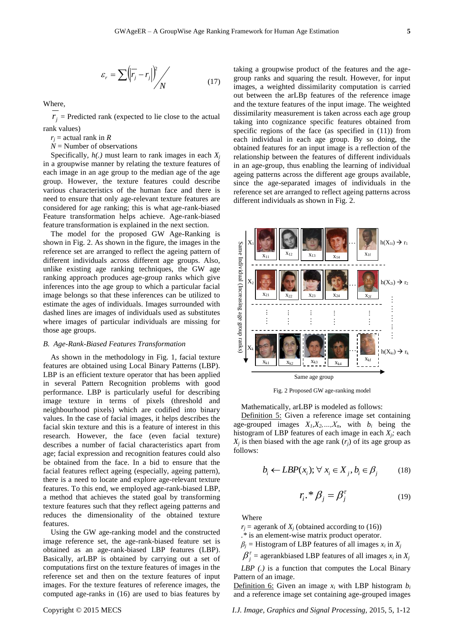$$
\varepsilon_r = \sum \left( \left| \overline{r_j} - r_j \right| \right)^2 / \sqrt{N} \tag{17}
$$

Where,

 $r_j$  = Predicted rank (expected to lie close to the actual rank values)

- $r_i$  = actual rank in *R*
- *N* = Number of observations

Specifically, *h(.)* must learn to rank images in each *X<sup>j</sup>* in a groupwise manner by relating the texture features of each image in an age group to the median age of the age group. However, the texture features could describe various characteristics of the human face and there is need to ensure that only age-relevant texture features are considered for age ranking; this is what age-rank-biased Feature transformation helps achieve. Age-rank-biased feature transformation is explained in the next section.

The model for the proposed GW Age-Ranking is shown in Fig. 2. As shown in the figure, the images in the reference set are arranged to reflect the ageing pattern of different individuals across different age groups. Also, unlike existing age ranking techniques, the GW age ranking approach produces age-group ranks which give inferences into the age group to which a particular facial image belongs so that these inferences can be utilized to estimate the ages of individuals. Images surrounded with dashed lines are images of individuals used as substitutes where images of particular individuals are missing for those age groups.

#### *B. Age-Rank-Biased Features Transformation*

As shown in the methodology in Fig. 1, facial texture features are obtained using Local Binary Patterns (LBP). LBP is an efficient texture operator that has been applied in several Pattern Recognition problems with good performance. LBP is particularly useful for describing image texture in terms of pixels (threshold and neighbourhood pixels) which are codified into binary values. In the case of facial images, it helps describes the facial skin texture and this is a feature of interest in this research. However, the face (even facial texture) describes a number of facial characteristics apart from age; facial expression and recognition features could also be obtained from the face. In a bid to ensure that the facial features reflect ageing (especially, ageing pattern), there is a need to locate and explore age-relevant texture features. To this end, we employed age-rank-biased LBP, a method that achieves the stated goal by transforming texture features such that they reflect ageing patterns and reduces the dimensionality of the obtained texture features.

Using the GW age-ranking model and the constructed image reference set, the age-rank-biased feature set is obtained as an age-rank-biased LBP features (LBP). Basically, arLBP is obtained by carrying out a set of computations first on the texture features of images in the reference set and then on the texture features of input images. For the texture features of reference images, the computed age-ranks in (16) are used to bias features by taking a groupwise product of the features and the agegroup ranks and squaring the result. However, for input images, a weighted dissimilarity computation is carried out between the arLBp features of the reference image and the texture features of the input image. The weighted dissimilarity measurement is taken across each age group taking into cognizance specific features obtained from specific regions of the face (as specified in (11)) from each individual in each age group. By so doing, the obtained features for an input image is a reflection of the relationship between the features of different individuals in an age-group, thus enabling the learning of individual ageing patterns across the different age groups available, since the age-separated images of individuals in the reference set are arranged to reflect ageing patterns across different individuals as shown in Fig. 2.



Fig. 2 Proposed GW age-ranking model

Mathematically, arLBP is modeled as follows:

Definition 5: Given a reference image set containing age-grouped images  $X_1, X_2, ..., X_n$ , with  $b_i$  being the histogram of LBP features of each image in each *Xj;* each  $X_j$  is then biased with the age rank  $(r_j)$  of its age group as follows:

$$
b_i \leftarrow LBP(x_i); \forall x_i \in X_j, b_i \in \beta_j \tag{18}
$$

$$
r_i \cdot \mathcal{B}_j = \beta_j^{\tau} \tag{19}
$$

Where

 $r_i$  = agerank of  $X_i$  (obtained according to (16))

*.\** is an element-wise matrix product operator.

 $\beta_j$  = Histogram of LBP features of all images  $x_i$  in  $X_j$ 

 $\beta_j^{\tau}$  = agerankbiased LBP features of all images  $x_i$  in  $X_j$ 

*LBP (.)* is a function that computes the Local Binary Pattern of an image.

Definition 6: Given an image  $x_i$  with LBP histogram  $b_i$ and a reference image set containing age-grouped images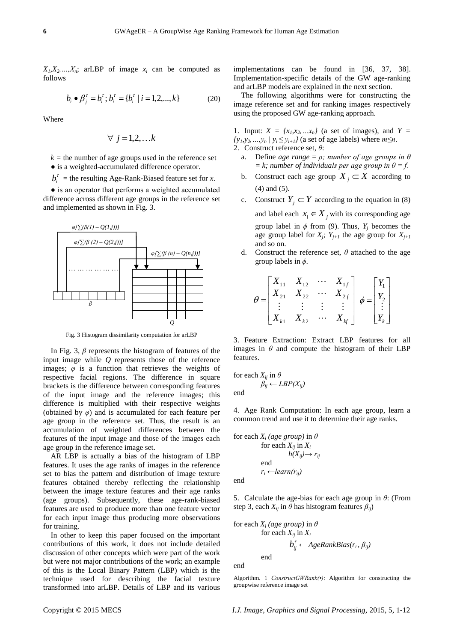$X_1, X_2, \ldots, X_n$ ; arLBP of image  $x_i$  can be computed as follows

$$
b_i \bullet \beta_j^{\tau} = b_i^{\tau}; b_i^{\tau} = \{b_i^{\tau} \mid i = 1, 2, ..., k\}
$$
 (20)

Where

$$
\forall j=1,2,\ldots k
$$

 $k =$  the number of age groups used in the reference set ● is a weighted-accumulated difference operator.

 $b_i^{\tau}$  = the resulting Age-Rank-Biased feature set for *x*.

• is an operator that performs a weighted accumulated difference across different age groups in the reference set and implemented as shown in Fig. 3.



Fig. 3 Histogram dissimilarity computation for arLBP

In Fig. 3, *β* represents the histogram of features of the input image while *Q* represents those of the reference images;  $\varphi$  is a function that retrieves the weights of respective facial regions. The difference in square brackets is the difference between corresponding features of the input image and the reference images; this difference is multiplied with their respective weights (obtained by  $\varphi$ ) and is accumulated for each feature per age group in the reference set. Thus, the result is an accumulation of weighted differences between the features of the input image and those of the images each age group in the reference image set.

AR LBP is actually a bias of the histogram of LBP features. It uses the age ranks of images in the reference set to bias the pattern and distribution of image texture features obtained thereby reflecting the relationship between the image texture features and their age ranks (age groups). Subsequently, these age-rank-biased features are used to produce more than one feature vector for each input image thus producing more observations for training.

In other to keep this paper focused on the important contributions of this work, it does not include detailed discussion of other concepts which were part of the work but were not major contributions of the work; an example of this is the Local Binary Pattern (LBP) which is the technique used for describing the facial texture transformed into arLBP. Details of LBP and its various implementations can be found in [36, 37, 38]. Implementation-specific details of the GW age-ranking and arLBP models are explained in the next section.

The following algorithms were for constructing the image reference set and for ranking images respectively using the proposed GW age-ranking approach.

1. Input:  $X = \{x_1, x_2, \ldots, x_n\}$  (a set of images), and  $Y =$  $\{y_1, y_2, \ldots, y_n \mid y_i \leq y_{i+1}\}\$  (a set of age labels) where  $m \leq n$ . 2. Construct reference set, *θ*:

- a. Define *age range* = *ρ; number of age groups in θ*   $= k$ ; number of individuals per age group in  $\theta = f$ .
- b. Construct each age group  $X_j \subset X$  according to (4) and (5).
- c. Construct  $Y_j \subset Y$  according to the equation in (8)
	- and label each  $x_i \in X_j$  with its corresponding age group label in  $\phi$  from (9). Thus,  $Y_i$  becomes the age group label for  $X_j$ ;  $Y_{j+1}$  the age group for  $X_{j+1}$ and so on.
- d. Construct the reference set, *θ* attached to the age group labels in *ϕ*.

$$
\theta = \begin{bmatrix} X_{11} & X_{12} & \cdots & X_{1f} \\ X_{21} & X_{22} & \cdots & X_{2f} \\ \vdots & \vdots & \vdots & \vdots \\ X_{k1} & X_{k2} & \cdots & X_{kf} \end{bmatrix} \phi = \begin{bmatrix} Y_1 \\ Y_2 \\ \vdots \\ Y_k \end{bmatrix}
$$

3. Feature Extraction: Extract LBP features for all images in  $\theta$  and compute the histogram of their LBP features.

for each 
$$
X_{ij}
$$
 in  $\theta$   
\n $\beta_{ij} \leftarrow LBP(X_{ij})$   
\nend

4. Age Rank Computation: In each age group, learn a common trend and use it to determine their age ranks.

for each  $X_i$  (age group) in  $\theta$ for each  $X_{ii}$  in  $X_i$  $h(X_{ii}) \rightarrow r_{ii}$ end  $r_i$  ← *learn*( $r_{ii}$ )

end

5. Calculate the age-bias for each age group in *θ*: (From step 3, each  $X_{ij}$  in  $\theta$  has histogram features  $\beta_{ij}$ 

for each 
$$
X_i
$$
 (age group) in  $\theta$   
for each  $X_{ij}$  in  $X_i$   
 $b_{ij}^{\tau} \leftarrow AgeRankBias(r_i, \beta_{ij})$ 

end

end

Algorithm. 1 *ConstructGWRank(•)*: Algorithm for constructing the groupwise reference image set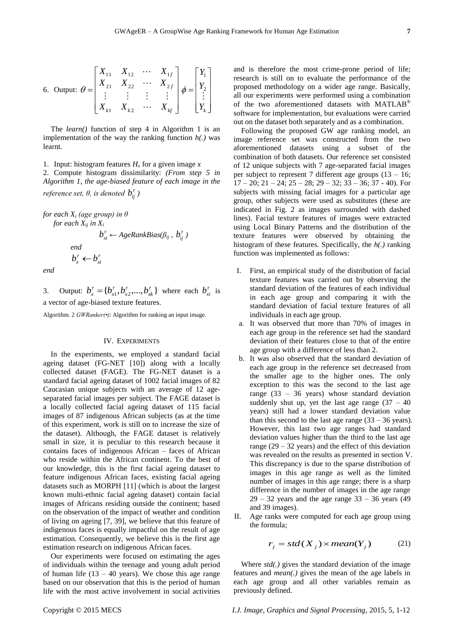6. Output: 
$$
\theta = \begin{bmatrix} X_{11} & X_{12} & \cdots & X_{1f} \\ X_{21} & X_{22} & \cdots & X_{2f} \\ \vdots & \vdots & \vdots & \vdots \\ X_{k1} & X_{k2} & \cdots & X_{kf} \end{bmatrix} \phi = \begin{bmatrix} Y_1 \\ Y_2 \\ \vdots \\ Y_k \end{bmatrix}
$$

The *learn()* function of step 4 in Algorithm 1 is an implementation of the way the ranking function *h(.)* was learnt.

## 1. Input: histogram features  $H<sub>x</sub>$  for a given image x

2. Compute histogram dissimilarity: *(From step 5 in Algorithm 1, the age-biased feature of each image in the reference set, θ, is denoted*  $b_{ij}^{\tau}$  *)* 

*)*

*for each X<sup>i</sup> (age group) in θ for each Xij in X<sup>i</sup>*

$$
b_{xi}^{\tau} \leftarrow AgeRankBias(\beta_{ij}, b_{ij}^{\tau})
$$
  
end  

$$
b_x^{\tau} \leftarrow b_{xi}^{\tau}
$$
  
end

3. Output:  $b_x^{\tau} = \{b_{x1}^{\tau}, b_{x2}^{\tau},...,b_{xk}^{\tau}\}\)$  where each  $b_{xi}^{\tau}$  is a vector of age-biased texture features.

Algorithm. 2 *GWRanker(•)*: Algorithm for ranking an input image.

### IV. EXPERIMENTS

In the experiments, we employed a standard facial ageing dataset (FG-NET [10]) along with a locally collected dataset (FAGE). The FG-NET dataset is a standard facial ageing dataset of 1002 facial images of 82 Caucasian unique subjects with an average of 12 ageseparated facial images per subject. The FAGE dataset is a locally collected facial ageing dataset of 115 facial images of 87 indigenous African subjects (as at the time of this experiment, work is still on to increase the size of the dataset). Although, the FAGE dataset is relatively small in size, it is peculiar to this research because it contains faces of indigenous African – faces of African who reside within the African continent. To the best of our knowledge, this is the first facial ageing dataset to feature indigenous African faces, existing facial ageing datasets such as MORPH [11] (which is about the largest known multi-ethnic facial ageing dataset) contain facial images of Africans residing outside the continent; based on the observation of the impact of weather and condition of living on ageing [7, 39], we believe that this feature of indigenous faces is equally impactful on the result of age estimation. Consequently, we believe this is the first age estimation research on indigenous African faces.

Our experiments were focused on estimating the ages of individuals within the teenage and young adult period of human life  $(13 - 40 \text{ years})$ . We chose this age range based on our observation that this is the period of human life with the most active involvement in social activities

and is therefore the most crime-prone period of life; research is still on to evaluate the performance of the proposed methodology on a wider age range. Basically, all our experiments were performed using a combination of the two aforementioned datasets with MATLAB<sup>®</sup> software for implementation, but evaluations were carried out on the dataset both separately and as a combination.

Following the proposed GW age ranking model, an image reference set was constructed from the two aforementioned datasets using a subset of the combination of both datasets. Our reference set consisted of 12 unique subjects with 7 age-separated facial images per subject to represent 7 different age groups  $(13 - 16)$ ;  $17 - 20$ ;  $21 - 24$ ;  $25 - 28$ ;  $29 - 32$ ;  $33 - 36$ ;  $37 - 40$ ). For subjects with missing facial images for a particular age group, other subjects were used as substitutes (these are indicated in Fig. 2 as images surrounded with dashed lines). Facial texture features of images were extracted using Local Binary Patterns and the distribution of the texture features were observed by obtaining the histogram of these features. Specifically, the *h(.)* ranking function was implemented as follows:

- I. First, an empirical study of the distribution of facial texture features was carried out by observing the standard deviation of the features of each individual in each age group and comparing it with the standard deviation of facial texture features of all individuals in each age group.
- a. It was observed that more than 70% of images in each age group in the reference set had the standard deviation of their features close to that of the entire age group with a difference of less than 2.
- b. It was also observed that the standard deviation of each age group in the reference set decreased from the smaller age to the higher ones. The only exception to this was the second to the last age range (33 – 36 years) whose standard deviation suddenly shut up, yet the last age range  $(37 - 40)$ years) still had a lower standard deviation value than this second to the last age range  $(33 – 36 \text{ years})$ . However, this last two age ranges had standard deviation values higher than the third to the last age range  $(29 - 32 \text{ years})$  and the effect of this deviation was revealed on the results as presented in section V. This discrepancy is due to the sparse distribution of images in this age range as well as the limited number of images in this age range; there is a sharp difference in the number of images in the age range  $29 - 32$  years and the age range  $33 - 36$  years (49) and 39 images).
- II. Age ranks were computed for each age group using the formula;

$$
r_j = std(X_j) \times mean(Y_j)
$$
 (21)

Where *std(.)* gives the standard deviation of the image features and *mean(.)* gives the mean of the age labels in each age group and all other variables remain as previously defined.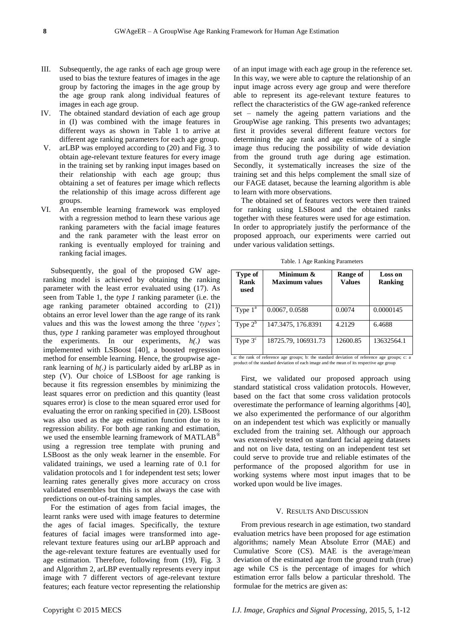- III. Subsequently, the age ranks of each age group were used to bias the texture features of images in the age group by factoring the images in the age group by the age group rank along individual features of images in each age group.
- IV. The obtained standard deviation of each age group in (I) was combined with the image features in different ways as shown in Table 1 to arrive at different age ranking parameters for each age group.
- V. arLBP was employed according to (20) and Fig. 3 to obtain age-relevant texture features for every image in the training set by ranking input images based on their relationship with each age group; thus obtaining a set of features per image which reflects the relationship of this image across different age groups.
- VI. An ensemble learning framework was employed with a regression method to learn these various age ranking parameters with the facial image features and the rank parameter with the least error on ranking is eventually employed for training and ranking facial images.

Subsequently, the goal of the proposed GW ageranking model is achieved by obtaining the ranking parameter with the least error evaluated using (17). As seen from Table 1, the *type 1* ranking parameter (i.e. the age ranking parameter obtained according to (21)) obtains an error level lower than the age range of its rank values and this was the lowest among the three ‗*types'*; thus, *type 1* ranking parameter was employed throughout the experiments. In our experiments, *h(.)* was implemented with LSBoost [40], a boosted regression method for ensemble learning. Hence, the groupwise agerank learning of *h(.)* is particularly aided by arLBP as in step (V). Our choice of LSBoost for age ranking is because it fits regression ensembles by minimizing the least squares error on prediction and this quantity (least squares error) is close to the mean squared error used for evaluating the error on ranking specified in (20). LSBoost was also used as the age estimation function due to its regression ability. For both age ranking and estimation, we used the ensemble learning framework of MATLAB<sup>®</sup> using a regression tree template with pruning and LSBoost as the only weak learner in the ensemble. For validated trainings, we used a learning rate of 0.1 for validation protocols and 1 for independent test sets; lower learning rates generally gives more accuracy on cross validated ensembles but this is not always the case with predictions on out-of-training samples.

For the estimation of ages from facial images, the learnt ranks were used with image features to determine the ages of facial images. Specifically, the texture features of facial images were transformed into agerelevant texture features using our arLBP approach and the age-relevant texture features are eventually used for age estimation. Therefore, following from (19), Fig. 3 and Algorithm 2, arLBP eventually represents every input image with 7 different vectors of age-relevant texture features; each feature vector representing the relationship

of an input image with each age group in the reference set. In this way, we were able to capture the relationship of an input image across every age group and were therefore able to represent its age-relevant texture features to reflect the characteristics of the GW age-ranked reference set – namely the ageing pattern variations and the GroupWise age ranking. This presents two advantages; first it provides several different feature vectors for determining the age rank and age estimate of a single image thus reducing the possibility of wide deviation from the ground truth age during age estimation. Secondly, it systematically increases the size of the training set and this helps complement the small size of our FAGE dataset, because the learning algorithm is able to learn with more observations.

The obtained set of features vectors were then trained for ranking using LSBoost and the obtained ranks together with these features were used for age estimation. In order to appropriately justify the performance of the proposed approach, our experiments were carried out under various validation settings.

| Type of<br>Rank<br>used | Minimum &<br><b>Maximum</b> values | Range of<br><b>Values</b> | <b>Loss on</b><br><b>Ranking</b> |
|-------------------------|------------------------------------|---------------------------|----------------------------------|
| Type $1^a$              | 0.0067, 0.0588                     | 0.0074                    | 0.0000145                        |
| Type $2^b$              | 147.3475, 176.8391                 | 4.2129                    | 6.4688                           |
| Type $3c$               | 18725.79, 106931.73                | 12600.85                  | 13632564.1                       |

Table. 1 Age Ranking Parameters

a: the rank of reference age groups; b: the standard deviation of reference age groups; c: a product of the standard deviation of each image and the mean of its respective age group

First, we validated our proposed approach using standard statistical cross validation protocols. However, based on the fact that some cross validation protocols overestimate the performance of learning algorithms [40], we also experimented the performance of our algorithm on an independent test which was explicitly or manually excluded from the training set. Although our approach was extensively tested on standard facial ageing datasets and not on live data, testing on an independent test set could serve to provide true and reliable estimates of the performance of the proposed algorithm for use in working systems where most input images that to be worked upon would be live images.

#### V. RESULTS AND DISCUSSION

From previous research in age estimation, two standard evaluation metrics have been proposed for age estimation algorithms; namely Mean Absolute Error (MAE) and Cumulative Score (CS). MAE is the average/mean deviation of the estimated age from the ground truth (true) age while CS is the percentage of images for which estimation error falls below a particular threshold. The formulae for the metrics are given as: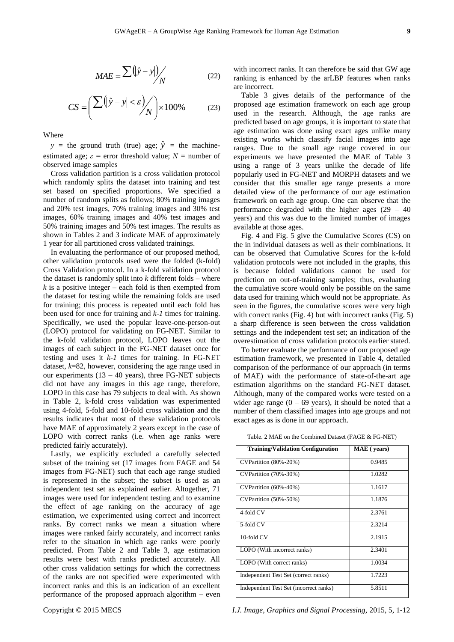$$
MAE = \frac{\sum (|\hat{y} - y|)}{N}
$$
 (22)

$$
CS = \left(\frac{\sum (|\hat{y} - y| < \varepsilon)}{N}\right) \times 100\% \tag{23}
$$

Where

 $y =$  the ground truth (true) age;  $\hat{y} =$  the machineestimated age;  $\varepsilon$  = error threshold value;  $N$  = number of observed image samples

Cross validation partition is a cross validation protocol which randomly splits the dataset into training and test set based on specified proportions. We specified a number of random splits as follows; 80% training images and 20% test images, 70% training images and 30% test images, 60% training images and 40% test images and 50% training images and 50% test images. The results as shown in Tables 2 and 3 indicate MAE of approximately 1 year for all partitioned cross validated trainings.

In evaluating the performance of our proposed method, other validation protocols used were the folded (k-fold) Cross Validation protocol. In a k-fold validation protocol the dataset is randomly split into *k* different folds – where  $k$  is a positive integer – each fold is then exempted from the dataset for testing while the remaining folds are used for training; this process is repeated until each fold has been used for once for training and *k-1* times for training. Specifically, we used the popular leave-one-person-out (LOPO) protocol for validating on FG-NET. Similar to the k-fold validation protocol, LOPO leaves out the images of each subject in the FG-NET dataset once for testing and uses it *k-1* times for training. In FG-NET dataset, *k*=82, however, considering the age range used in our experiments  $(13 - 40 \text{ years})$ , three FG-NET subjects did not have any images in this age range, therefore, LOPO in this case has 79 subjects to deal with. As shown in Table 2, k-fold cross validation was experimented using 4-fold, 5-fold and 10-fold cross validation and the results indicates that most of these validation protocols have MAE of approximately 2 years except in the case of LOPO with correct ranks (i.e. when age ranks were predicted fairly accurately).

Lastly, we explicitly excluded a carefully selected subset of the training set (17 images from FAGE and 54 images from FG-NET) such that each age range studied is represented in the subset; the subset is used as an independent test set as explained earlier. Altogether, 71 images were used for independent testing and to examine the effect of age ranking on the accuracy of age estimation, we experimented using correct and incorrect ranks. By correct ranks we mean a situation where images were ranked fairly accurately, and incorrect ranks refer to the situation in which age ranks were poorly predicted. From Table 2 and Table 3, age estimation results were best with ranks predicted accurately. All other cross validation settings for which the correctness of the ranks are not specified were experimented with incorrect ranks and this is an indication of an excellent performance of the proposed approach algorithm – even

with incorrect ranks. It can therefore be said that GW age ranking is enhanced by the arLBP features when ranks are incorrect.

Table 3 gives details of the performance of the proposed age estimation framework on each age group used in the research. Although, the age ranks are predicted based on age groups, it is important to state that age estimation was done using exact ages unlike many existing works which classify facial images into age ranges. Due to the small age range covered in our experiments we have presented the MAE of Table 3 using a range of 3 years unlike the decade of life popularly used in FG-NET and MORPH datasets and we consider that this smaller age range presents a more detailed view of the performance of our age estimation framework on each age group. One can observe that the performance degraded with the higher ages  $(29 - 40)$ years) and this was due to the limited number of images available at those ages.

Fig. 4 and Fig. 5 give the Cumulative Scores (CS) on the in individual datasets as well as their combinations. It can be observed that Cumulative Scores for the k-fold validation protocols were not included in the graphs, this is because folded validations cannot be used for prediction on out-of-training samples; thus, evaluating the cumulative score would only be possible on the same data used for training which would not be appropriate. As seen in the figures, the cumulative scores were very high with correct ranks (Fig. 4) but with incorrect ranks (Fig. 5) a sharp difference is seen between the cross validation settings and the independent test set; an indication of the overestimation of cross validation protocols earlier stated.

To better evaluate the performance of our proposed age estimation framework, we presented in Table 4, detailed comparison of the performance of our approach (in terms of MAE) with the performance of state-of-the-art age estimation algorithms on the standard FG-NET dataset. Although, many of the compared works were tested on a wider age range  $(0 - 69$  years), it should be noted that a number of them classified images into age groups and not exact ages as is done in our approach.

| <b>Training/Validation Configuration</b> | MAE (years) |
|------------------------------------------|-------------|
| CVPartition (80%-20%)                    | 0.9485      |
| CVPartition (70%-30%)                    | 1.0282      |
| CVPartition (60%-40%)                    | 1.1617      |
| CVPartition (50%-50%)                    | 1.1876      |
| 4-fold CV                                | 2.3761      |
| 5-fold CV                                | 2.3214      |
| 10-fold CV                               | 2.1915      |
| LOPO (With incorrect ranks)              | 2.3401      |
| LOPO (With correct ranks)                | 1.0034      |
| Independent Test Set (correct ranks)     | 1.7223      |
| Independent Test Set (incorrect ranks)   | 5.8511      |

Table. 2 MAE on the Combined Dataset (FAGE & FG-NET)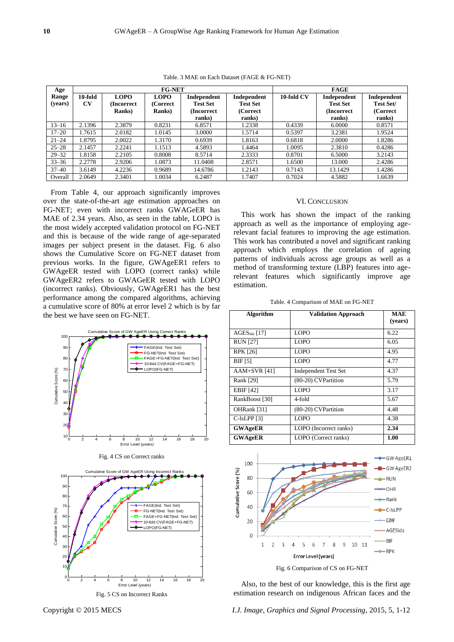| Age       | <b>FG-NET</b> |                |                |                 | <b>FAGE</b>     |            |                 |             |
|-----------|---------------|----------------|----------------|-----------------|-----------------|------------|-----------------|-------------|
| Range     | 10-fold       | <b>LOPO</b>    | <b>LOPO</b>    | Independent     | Independent     | 10-fold CV | Independent     | Independent |
| (years)   | CV            | (Incorrect)    | (Correct       | <b>Test Set</b> | <b>Test Set</b> |            | <b>Test Set</b> | Test Set/   |
|           |               | <b>Ranks</b> ) | <b>Ranks</b> ) | (Incorrect)     | (Correct        |            | (Incorrect)     | (Correct    |
|           |               |                |                | ranks)          | ranks)          |            | ranks)          | ranks)      |
| $13 - 16$ | 2.1396        | 2.3879         | 0.8231         | 6.8571          | 1.2338          | 0.4339     | 6.0000          | 0.8571      |
| $17 - 20$ | 1.7615        | 2.0182         | 1.0145         | 3.0000          | 1.5714          | 0.5397     | 3.2381          | 1.9524      |
| $21 - 24$ | 1.8795        | 2.0022         | 1.3170         | 0.6939          | 1.8163          | 0.6818     | 2.0000          | 1.8286      |
| $25 - 28$ | 2.1457        | 2.2241         | 1.1513         | 4.5893          | 1.4464          | 1.0095     | 2.3810          | 0.4286      |
| $29 - 32$ | 1.8158        | 2.2105         | 0.8008         | 8.5714          | 2.3333          | 0.8701     | 6.5000          | 3.2143      |
| $33 - 36$ | 2.2778        | 2.9206         | 1.0873         | 11.0408         | 2.8571          | 1.6500     | 13.000          | 2.4286      |
| $37 - 40$ | 3.6149        | 4.2236         | 0.9689         | 14.6786         | 1.2143          | 0.7143     | 13.1429         | 1.4286      |
| Overall   | 2.0649        | 2.3401         | 1.0034         | 6.2487          | 1.7407          | 0.7024     | 4.5882          | 1.6639      |

Table. 3 MAE on Each Dataset (FAGE & FG-NET)

From Table 4, our approach significantly improves over the state-of-the-art age estimation approaches on FG-NET; even with incorrect ranks GWAGeER has MAE of 2.34 years. Also, as seen in the table, LOPO is the most widely accepted validation protocol on FG-NET and this is because of the wide range of age-separated images per subject present in the dataset. Fig. 6 also shows the Cumulative Score on FG-NET dataset from previous works. In the figure, GWAgeER1 refers to GWAgeER tested with LOPO (correct ranks) while GWAgeER2 refers to GWAGeER tested with LOPO (incorrect ranks). Obviously, GWAgeER1 has the best performance among the compared algorithms, achieving a cumulative score of 80% at error level 2 which is by far the best we have seen on FG-NET.



#### VI. CONCLUSION

This work has shown the impact of the ranking approach as well as the importance of employing agerelevant facial features to improving the age estimation. This work has contributed a novel and significant ranking approach which employs the correlation of ageing patterns of individuals across age groups as well as a method of transforming texture (LBP) features into agerelevant features which significantly improve age estimation.

Table. 4 Comparison of MAE on FG-NET

| Algorithm         | <b>Validation Approach</b>  | <b>MAE</b><br>(years) |
|-------------------|-----------------------------|-----------------------|
| $AGES_{lda}$ [17] | <b>LOPO</b>                 | 6.22                  |
| <b>RUN [27]</b>   | LOPO                        | 6.05                  |
| <b>RPK [26]</b>   | <b>LOPO</b>                 | 4.95                  |
| <b>BIF</b> [5]    | <b>LOPO</b>                 | 4.77                  |
| $AAM+SVR$ [41]    | <b>Independent Test Set</b> | 4.37                  |
| Rank [29]         | (80-20) CVPartition         | 5.79                  |
| <b>EBIF</b> [42]  | LOPO                        | 3.17                  |
| RankBoost [30]    | 4-fold                      | 5.67                  |
| OHRank [31]       | (80-20) CVPartition         | 4.48                  |
| $C$ -ls $LPP$ [3] | LOPO                        | 4.38                  |
| <b>GWAgeER</b>    | LOPO (Incorrect ranks)      | 2.34                  |
| <b>GWAgeER</b>    | LOPO (Correct ranks)        | 1.00                  |



Also, to the best of our knowledge, this is the first age estimation research on indigenous African faces and the

Copyright © 2015 MECS *I.J. Image, Graphics and Signal Processing,* 2015, 5, 1-12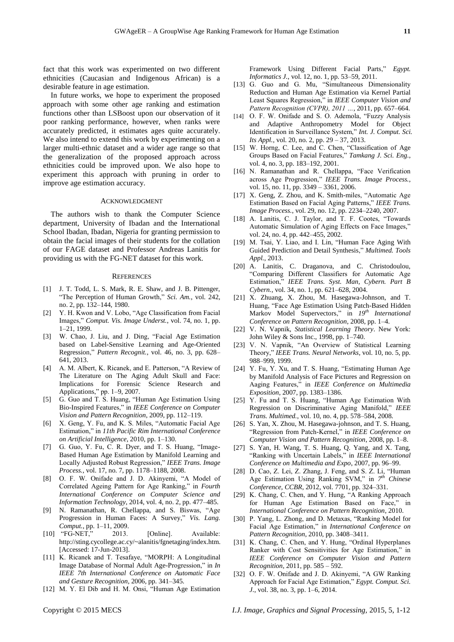fact that this work was experimented on two different ethnicities (Caucasian and Indigenous African) is a desirable feature in age estimation.

In future works, we hope to experiment the proposed approach with some other age ranking and estimation functions other than LSBoost upon our observation of it poor ranking performance, however, when ranks were accurately predicted, it estimates ages quite accurately. We also intend to extend this work by experimenting on a larger multi-ethnic dataset and a wider age range so that the generalization of the proposed approach across ethnicities could be improved upon. We also hope to experiment this approach with pruning in order to improve age estimation accuracy.

#### ACKNOWLEDGMENT

The authors wish to thank the Computer Science department, University of Ibadan and the International School Ibadan, Ibadan, Nigeria for granting permission to obtain the facial images of their students for the collation of our FAGE dataset and Professor Andreas Lanitis for providing us with the FG-NET dataset for this work.

#### **REFERENCES**

- [1] J. T. Todd, L. S. Mark, R. E. Shaw, and J. B. Pittenger, "The Perception of Human Growth," Sci. Am., vol. 242, no. 2, pp. 132–144, 1980.
- [2] Y. H. Kwon and V. Lobo, "Age Classification from Facial Images," *Comput. Vis. Image Underst.*, vol. 74, no. 1, pp. 1–21, 1999.
- [3] W. Chao, J. Liu, and J. Ding, "Facial Age Estimation based on Label-Sensitive Learning and Age-Oriented Regression," *Pattern Recognit.*, vol. 46, no. 3, pp. 628– 641, 2013.
- [4] A. M. Albert, K. Ricanek, and E. Patterson, "A Review of The Literature on The Aging Adult Skull and Face: Implications for Forensic Science Research and Applications," pp. 1–9, 2007.
- [5] G. Guo and T. S. Huang, "Human Age Estimation Using Bio-Inspired Features," in *IEEE Conference on Computer Vision and Pattern Recognition*, 2009, pp. 112–119.
- [6] X. Geng, Y. Fu, and K. S. Miles, "Automatic Facial Age Estimation,‖ in *11th Pacific Rim International Conference on Artificial Intelligence*, 2010, pp. 1–130.
- $[7]$  G. Guo, Y. Fu, C. R. Dyer, and T. S. Huang, "Image-Based Human Age Estimation by Manifold Learning and Locally Adjusted Robust Regression," IEEE Trans. Image *Process.*, vol. 17, no. 7, pp. 1178–1188, 2008.
- [8] O. F. W. Onifade and J. D. Akinyemi, "A Model of Correlated Ageing Pattern for Age Ranking," in *Fourth International Conference on Computer Science and Information Technology*, 2014, vol. 4, no. 2, pp. 477–485.
- [9] N. Ramanathan, R. Chellappa, and S. Biswas, "Age Progression in Human Faces: A Survey," Vis. Lang. *Comput.*, pp. 1–11, 2009.
- [10] "FG-NET," 2013. [Online]. Available: http://sting.cycollege.ac.cy/~alanitis/fgnetaging/index.htm. [Accessed: 17-Jun-2013].
- [11] K. Ricanek and T. Tesafaye, "MORPH: A Longitudinal Image Database of Normal Adult Age-Progression," in *In IEEE 7th International Conference on Automatic Face and Gesture Recognition*, 2006, pp. 341–345.
- [12] M. Y. El Dib and H. M. Onsi, "Human Age Estimation

Framework Using Different Facial Parts," *Egypt*. *Informatics J.*, vol. 12, no. 1, pp. 53–59, 2011.

- [13] G. Guo and G. Mu, "Simultaneous Dimensionality Reduction and Human Age Estimation via Kernel Partial Least Squares Regression," in *IEEE Computer Vision and Pattern Recognition (CVPR), 2011 …*, 2011, pp. 657–664.
- [14] O. F. W. Onifade and S. O. Ademola, "Fuzzy Analysis and Adaptive Anthropometry Model for Object Identification in Surveillance System," Int. J. Comput. Sci. *Its Appl.*, vol. 20, no. 2, pp. 29 – 37, 2013.
- [15] W. Horng, C. Lee, and C. Chen, "Classification of Age Groups Based on Facial Features," Tamkang J. Sci. Eng., vol. 4, no. 3, pp. 183–192, 2001.
- [16] N. Ramanathan and R. Chellappa, "Face Verification across Age Progression," IEEE Trans. Image Process., vol. 15, no. 11, pp. 3349 – 3361, 2006.
- [17] X. Geng, Z. Zhou, and K. Smith-miles, "Automatic Age Estimation Based on Facial Aging Patterns,‖ *IEEE Trans. Image Process.*, vol. 29, no. 12, pp. 2234–2240, 2007.
- [18] A. Lanitis, C. J. Taylor, and T. F. Cootes, "Towards Automatic Simulation of Aging Effects on Face Images," vol. 24, no. 4, pp. 442–455, 2002.
- [19] M. Tsai, Y. Liao, and I. Lin, "Human Face Aging With Guided Prediction and Detail Synthesis," *Multimed. Tools Appl.*, 2013.
- [20] A. Lanitis, C. Draganova, and C. Christodoulou, ―Comparing Different Classifiers for Automatic Age Estimation,‖ *IEEE Trans. Syst. Man, Cybern. Part B Cybern.*, vol. 34, no. 1, pp. 621–628, 2004.
- [21] X. Zhuang, X. Zhou, M. Hasegawa-Johnson, and T. Huang, "Face Age Estimation Using Patch-Based Hidden Markov Model Supervectors," in 19<sup>th</sup> International *Conference on Pattern Recognition*, 2008, pp. 1–4.
- [22] V. N. Vapnik, *Statistical Learning Theory*. New York: John Wiley & Sons Inc., 1998, pp. 1–740.
- [23] V. N. Vapnik, "An Overview of Statistical Learning Theory," *IEEE Trans. Neural Networks*, vol. 10, no. 5, pp. 988–999, 1999.
- [24] Y. Fu, Y. Xu, and T. S. Huang, "Estimating Human Age by Manifold Analysis of Face Pictures and Regression on Aaging Features,‖ in *IEEE Conference on Multimedia Exposition*, 2007, pp. 1383–1386.
- [25] Y. Fu and T. S. Huang, "Human Age Estimation With Regression on Discriminative Aging Manifold," IEEE *Trans. Multimed.*, vol. 10, no. 4, pp. 578–584, 2008.
- [26] S. Yan, X. Zhou, M. Hasegawa-johnson, and T. S. Huang, ―Regression from Patch-Kernel,‖ in *IEEE Conference on Computer Vision and Pattern Recognition*, 2008, pp. 1–8.
- [27] S. Yan, H. Wang, T. S. Huang, Q. Yang, and X. Tang, ―Ranking with Uncertain Labels,‖ in *IEEE International Conference on Multimedia and Expo*, 2007, pp. 96–99.
- [28] D. Cao, Z. Lei, Z. Zhang, J. Feng, and S. Z. Li, "Human Age Estimation Using Ranking SVM," in 7<sup>th</sup> Chinese *Conference, CCBR*, 2012, vol. 7701, pp. 324–331.
- [29] K. Chang, C. Chen, and Y. Hung, "A Ranking Approach for Human Age Estimation Based on Face," in *International Conference on Pattern Recognition*, 2010.
- [30] P. Yang, L. Zhong, and D. Metaxas, "Ranking Model for Facial Age Estimation," in *International Conference on Pattern Recognition*, 2010, pp. 3408–3411.
- [31] K. Chang, C. Chen, and Y. Hung, "Ordinal Hyperplanes Ranker with Cost Sensitivities for Age Estimation," in *IEEE Conference on Computer Vision and Pattern Recognition*, 2011, pp. 585 – 592.
- [32] O. F. W. Onifade and J. D. Akinyemi, "A GW Ranking Approach for Facial Age Estimation," *Egypt. Comput. Sci. J.*, vol. 38, no. 3, pp. 1–6, 2014.